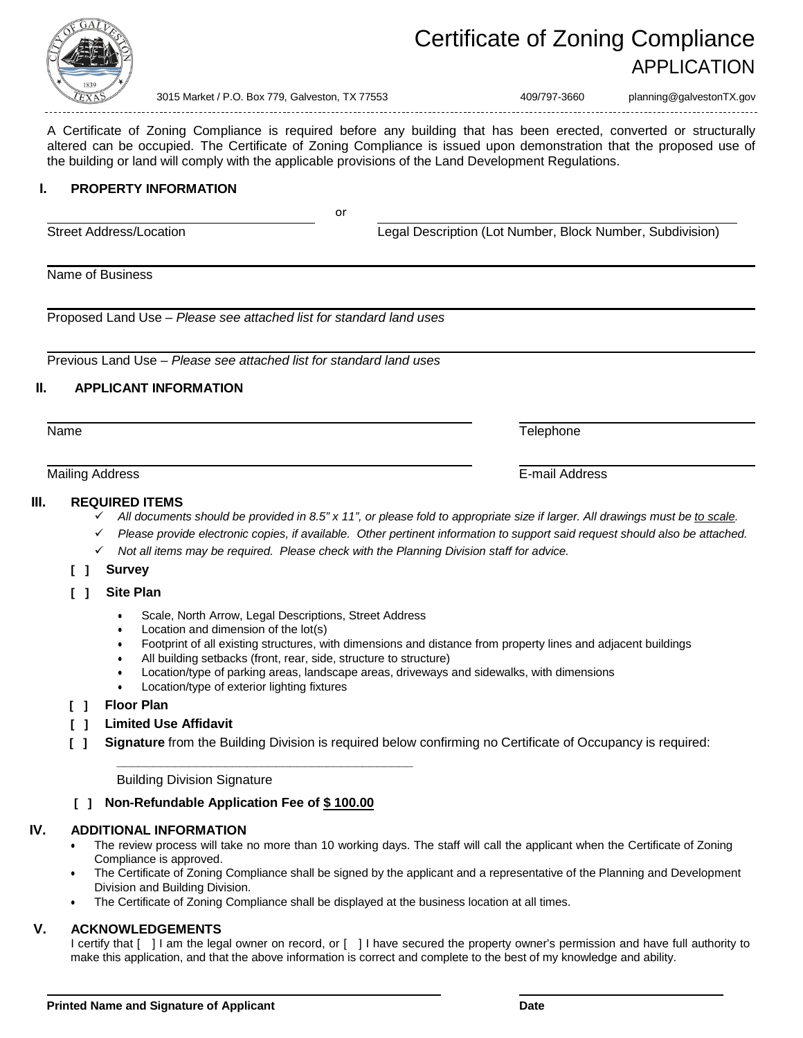

# Certificate of Zoning Compliance APPLICATION

3015 Market / P.O. Box 779, Galveston, TX 77553 409/797-3660 planning@galvestonTX.gov

A Certificate of Zoning Compliance is required before any building that has been erected, converted or structurally altered can be occupied. The Certificate of Zoning Compliance is issued upon demonstration that the proposed use of the building or land will comply with the applicable provisions of the Land Development Regulations.

#### **I. PROPERTY INFORMATION**

Street Address/Location Legal Description (Lot Number, Block Number, Subdivision)

Name of Business

Proposed Land Use – *Please see attached list for standard land uses*

Previous Land Use – *Please see attached list for standard land uses*

## **II. APPLICANT INFORMATION**

Name Telephone

Mailing Address E-mail Address

#### **III. REQUIRED ITEMS**

- *All documents should be provided in 8.5" x 11", or please fold to appropriate size if larger. All drawings must be to scale.*
	- Please provide electronic copies, if available. Other pertinent information to support said request should also be attached.
- *Not all items may be required. Please check with the Planning Division staff for advice.*

or

- **[ ] Survey**
- **[ ] Site Plan**
	- Scale, North Arrow, Legal Descriptions, Street Address

**\_\_\_\_\_\_\_\_\_\_\_\_\_\_\_\_\_\_\_\_\_\_\_\_\_\_\_\_\_\_\_\_\_\_\_\_\_\_\_\_\_**

- Location and dimension of the lot(s)
- Footprint of all existing structures, with dimensions and distance from property lines and adjacent buildings
- All building setbacks (front, rear, side, structure to structure)
- Location/type of parking areas, landscape areas, driveways and sidewalks, with dimensions
- Location/type of exterior lighting fixtures
- **[ ] Floor Plan**
- **[ ] Limited Use Affidavit**
- **[ ] Signature** from the Building Division is required below confirming no Certificate of Occupancy is required:

Building Division Signature

#### **[ ] Non-Refundable Application Fee of \$ 100.00**

# **IV. ADDITIONAL INFORMATION**

- The review process will take no more than 10 working days. The staff will call the applicant when the Certificate of Zoning Compliance is approved.
- The Certificate of Zoning Compliance shall be signed by the applicant and a representative of the Planning and Development Division and Building Division.
- The Certificate of Zoning Compliance shall be displayed at the business location at all times.

## **V. ACKNOWLEDGEMENTS**

I certify that [ ] I am the legal owner on record, or [ ] I have secured the property owner's permission and have full authority to make this application, and that the above information is correct and complete to the best of my knowledge and ability.